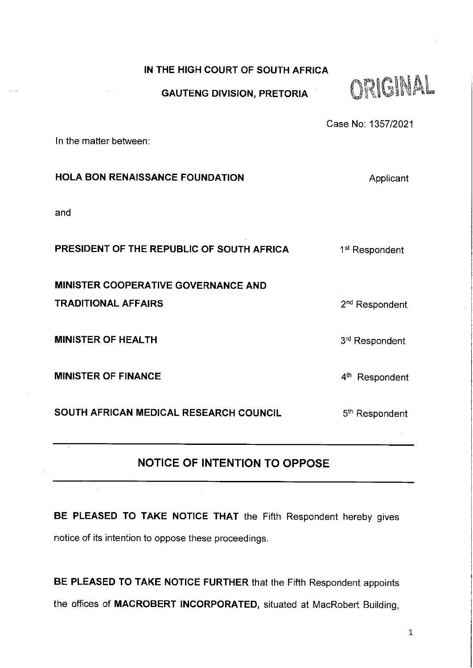#### **IN THE HIGH COURT OF SOUTH AFRICA**

#### **GAUTENG DIVISION, PRETORIA**



Case No: 1357/2021

In the matter between:

| <b>HOLA BON RENAISSANCE FOUNDATION</b>     | Applicant                  |
|--------------------------------------------|----------------------------|
| and                                        |                            |
| PRESIDENT OF THE REPUBLIC OF SOUTH AFRICA  | 1 <sup>st</sup> Respondent |
| <b>MINISTER COOPERATIVE GOVERNANCE AND</b> |                            |
| <b>TRADITIONAL AFFAIRS</b>                 | 2 <sup>nd</sup> Respondent |
| <b>MINISTER OF HEALTH</b>                  | 3 <sup>rd</sup> Respondent |
| <b>MINISTER OF FINANCE</b>                 | 4 <sup>th</sup> Respondent |
| SOUTH AFRICAN MEDICAL RESEARCH COUNCIL     | 5 <sup>th</sup> Respondent |

# **NOTICE OF INTENTION TO OPPOSE**

**BE PLEASED TO TAKE NOTICE THAT** the Fifth Respondent hereby gives notice of its intention to oppose these proceedings.

BE PLEASED TO **TAKE** NOTICE **FURTHER** that the Fifth Respondent appoints the offices of **MACROBERT INCORPORATED,** situated at MacRobert Building,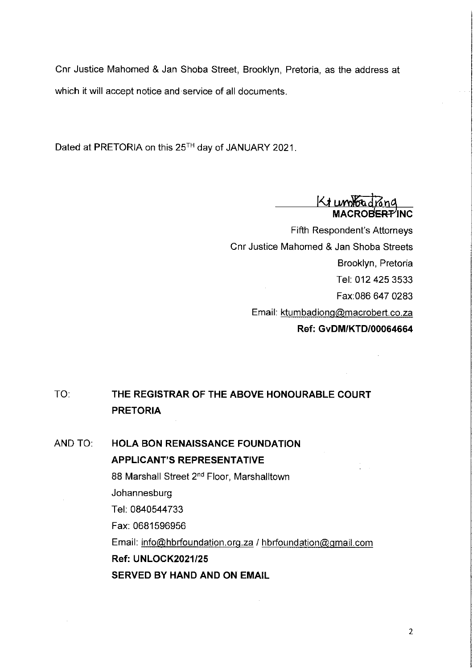Cnr Justice Mahomed & Jan Shoba Street, Brooklyn, Pretoria, as the address at which it will accept notice and service of all documents.

Dated at PRETORIA on this 25T<sup>h</sup> day of JANUARY 2021.

**Ki MACROBERT^INC**

Fifth Respondent's Attorneys Cnr Justice Mahomed & Jan Shoba Streets Brooklyn, Pretoria Tel; 012 425 3533 Fax:086 647 0283 Email: [ktumbadionq@macrobert.co.za](mailto:ktumbadionq@macrobert.co.za) **Ref: GvDM/KTD/00064664**

**TO: THE REGISTRAR OF THE ABOVE HONOURABLE COURT PRETORIA**

AND **TO: HOLA BON RENAISSANCE FOUNDATION APPLICANT'S REPRESENTATIVE** 88 Marshall Street *2^^* Floor, Marshalltown Johannesburg Tel: 0840544733 Fax; 0681596956 Email: info@hbrfoundation.org.za / hbrfoundation@gmail.com **Ref: UNLOCK2021/25** SERVED BY HAND AND ON EMAIL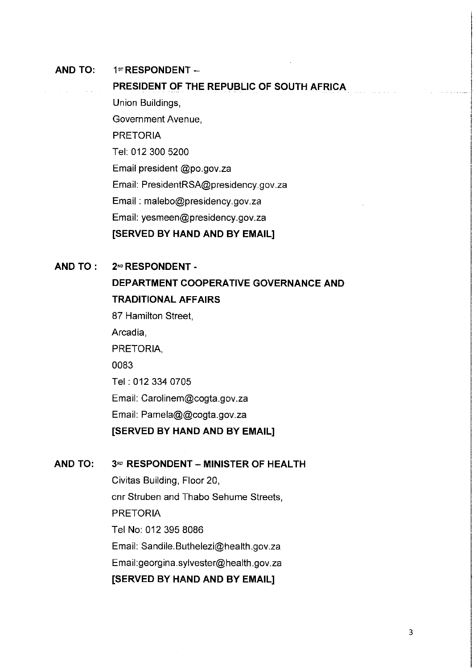#### **AND TO: 1^ RESPONDENT -**

**PRESIDENT OF THE REPUBLIC OF SOUTH AFRICA** Union Buildings, Government Avenue, PRETORIA Tel: 012 300 5200 Email president @po.gov.za Email: [PresidentRSA@presidency.gov.za](mailto:PresidentRSA@presidency.gov.za) Email: [malebo@presidency.gov.za](mailto:malebo@presidency.gov.za) Email: [yesmeen@presidency.gov.za](mailto:yesmeen@presidency.gov.za) **[SERVED BY HAND AND BY EMAIL]**

#### **AND TO : 2-'^ RESPONDENT -**

**DEPARTMENT COOPERATIVE GOVERNANCE AND TRADITIONAL AFFAIRS** 87 Hamilton Street, Arcadia, PRETORIA, 0083 Tel: 012 334 0705 Email: [Carolinem@cogta.gov.za](mailto:Carolinem@cogta.gov.za) Email: Pamela@@cogta.gov.za **[SERVED BY HAND AND BY EMAIL]**

### **AND TO: 3\*^ RESPONDENT - MINISTER OF HEALTH**

Civitas Building, Floor 20, cnr Struben and Thabo Sehume Streets, PRETORIA Tel No: 012 395 8086 Email: [Sandile.Buthelezi@health.gov.za](mailto:Sandile.Buthelezi@health.gov.za) Email[:georgina.sylvester@health.gov.za](mailto:georgina.sylvester@health.gov.za) **[SERVED BY HAND AND BY EMAIL]**